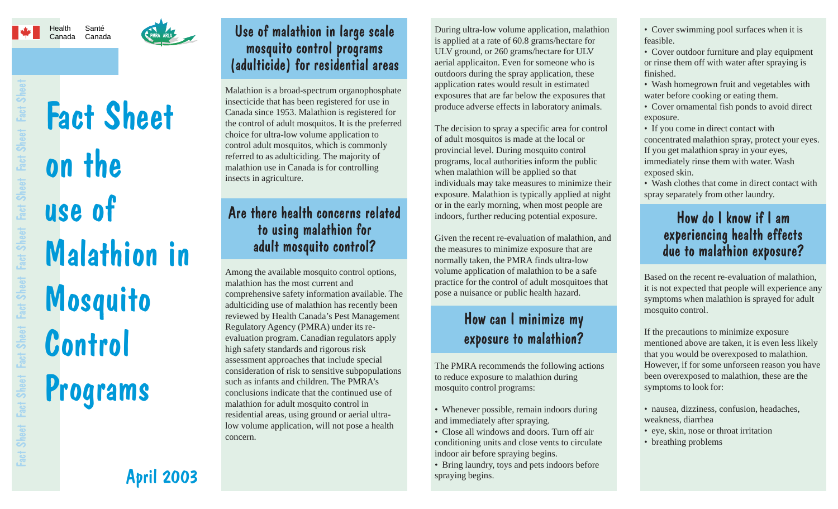# Health

#### Canada CanadaSanté



#### Use of malathion in large scale mosquito control programs (adulticide) for residential areas

Malathion is a broad-spectrum organophosphate insecticide that has been registered for use in Canada since 1953. Malathion is registered for the control of adult mosquitos. It is the preferred choice for ultra-low volume application to control adult mosquitos, which is commonly referred to as adulticiding. The majority of malathion use in Canada is for controlling insects in agriculture.

#### Are there health concerns related to using malathion for adult mosquito control?

Among the available mosquito control options, malathion has the most current and comprehensive safety information available. The adulticiding use of malathion has recently been reviewed by Health Canada's Pest Management Regulatory Agency (PMRA) under its reevaluation program. Canadian regulators apply high safety standards and rigorous risk assessment approaches that include special consideration of risk to sensitive subpopulations such as infants and children. The PMRA's conclusions indicate that the continued use of malathion for adult mosquito control in residential areas, using ground or aerial ultralow volume application, will not pose a health concern.

During ultra-low volume application, malathion is applied at a rate of 60.8 grams/hectare for ULV ground, or 260 grams/hectare for ULV aerial applicaiton. Even for someone who is outdoors during the spray application, these application rates would result in estimated exposures that are far below the exposures that produce adverse effects in laboratory animals.

The decision to spray a specific area for control of adult mosquitos is made at the local or provincial level. During mosquito control programs, local authorities inform the public when malathion will be applied so that individuals may take measures to minimize their exposure. Malathion is typically applied at night or in the early morning, when most people are indoors, further reducing potential exposure.

Given the recent re-evaluation of malathion, and the measures to minimize exposure that are normally taken, the PMRA finds ultra-low volume application of malathion to be a safe practice for the control of adult mosquitoes that pose a nuisance or public health hazard.

## How can I minimize my exposure to malathion?

The PMRA recommends the following actions to reduce exposure to malathion during mosquito control programs:

• Whenever possible, remain indoors during and immediately after spraying.

- Close all windows and doors. Turn off air conditioning units and close vents to circulate indoor air before spraying begins.
- Bring laundry, toys and pets indoors before spraying begins.

• Cover swimming pool surfaces when it is feasible.

• Cover outdoor furniture and play equipment or rinse them off with water after spraying is finished.

• Wash homegrown fruit and vegetables with water before cooking or eating them.

• Cover ornamental fish ponds to avoid direct exposure.

• If you come in direct contact with concentrated malathion spray, protect your eyes. If you get malathion spray in your eyes, immediately rinse them with water. Wash exposed skin.

• Wash clothes that come in direct contact with spray separately from other laundry.

#### How do I know if I am experiencing health effects due to malathion exposure?

Based on the recent re-evaluation of malathion, it is not expected that people will experience any symptoms when malathion is sprayed for adult mosquito control.

If the precautions to minimize exposure mentioned above are taken, it is even less likely that you would be overexposed to malathion. However, if for some unforseen reason you have been overexposed to malathion, these are the symptoms to look for:

• nausea, dizziness, confusion, headaches, weakness, diarrhea

- eye, skin, nose or throat irritation
- breathing problems

April 2003